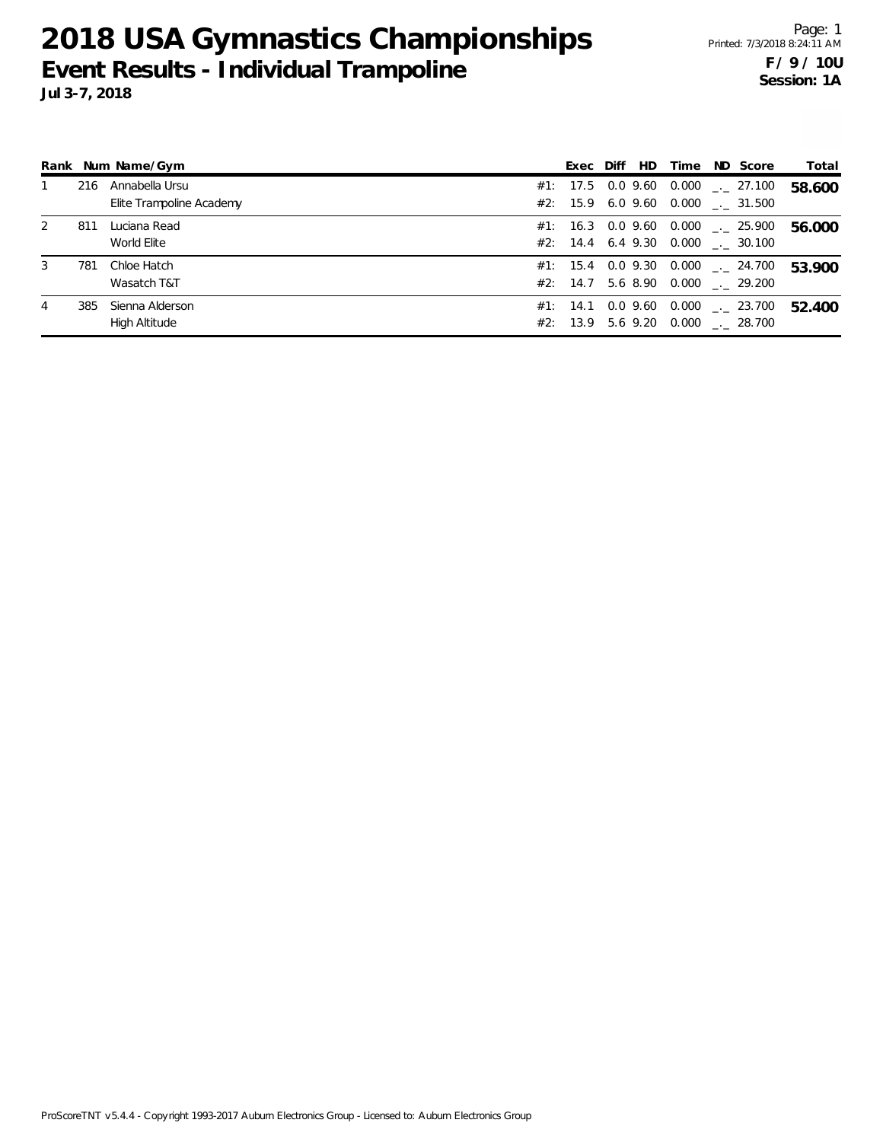|   |     | Rank Num Name/Gym                          | Exec Diff HD      |  | Time ND Score                                                                 | Total  |
|---|-----|--------------------------------------------|-------------------|--|-------------------------------------------------------------------------------|--------|
|   | 216 | Annabella Ursu<br>Elite Trampoline Academy |                   |  | #1: 17.5 0.0 9.60 0.000 $\ldots$ 27.100<br>#2: 15.9 6.0 9.60 0.000 . 31.500   | 58.600 |
| 2 | 811 | Luciana Read<br>World Elite                |                   |  | $#1: 16.3 0.0 9.60 0.000$ $-. 25.900$<br>#2: 14.4 6.4 9.30 0.000 . 30.100     | 56.000 |
| 3 | 781 | Chloe Hatch<br>Wasatch T&T                 |                   |  | $\#1$ : 15.4 0.0 9.30 0.000 $\_\_$ 24.700<br>#2: 14.7 5.6 8.90 0.000 . 29.200 | 53.900 |
| 4 | 385 | Sienna Alderson<br>High Altitude           | #1: 14.1 0.0 9.60 |  | $0.000$ $_{\leftarrow}$ 23.700<br>#2: 13.9 5.6 9.20 0.000 . 28.700            | 52.400 |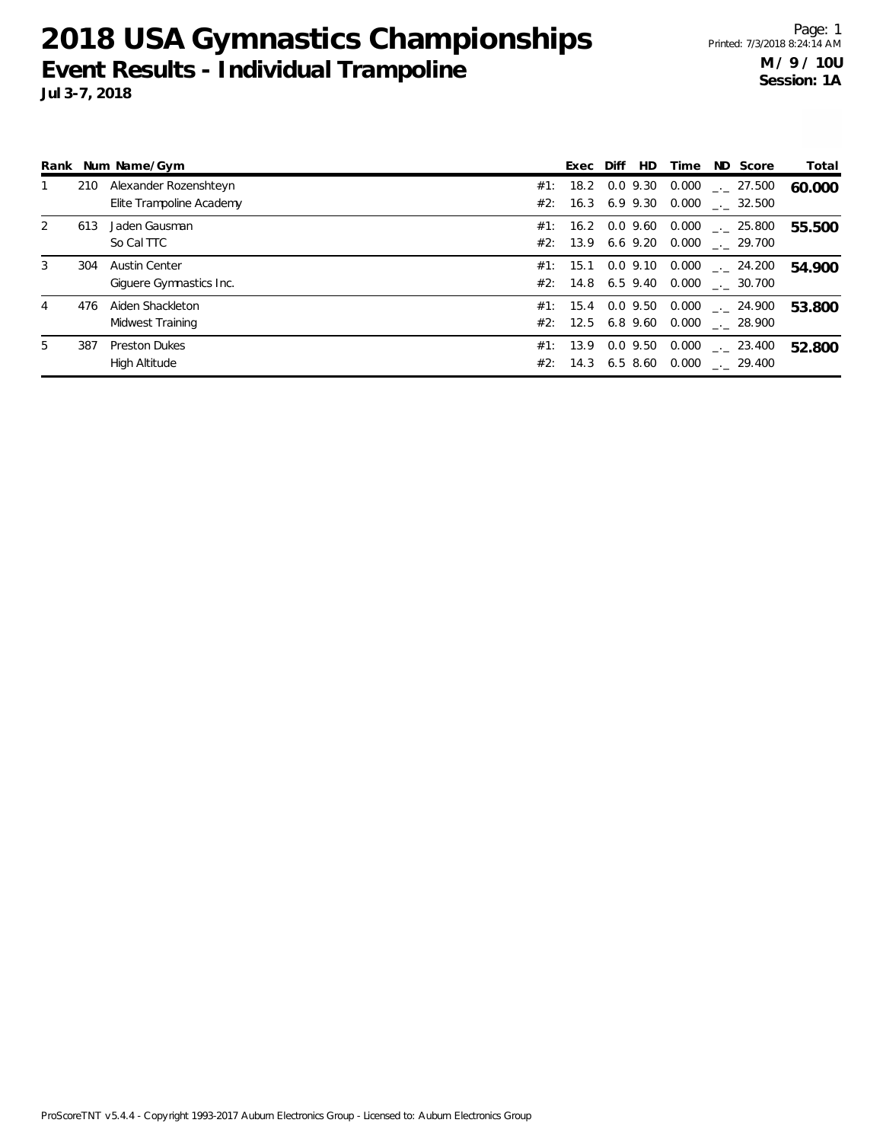|    |     | Rank Num Name/Gym        |     | Exec Diff         | HD | Time | ND Score                         | Total  |
|----|-----|--------------------------|-----|-------------------|----|------|----------------------------------|--------|
| 1  | 210 | Alexander Rozenshteyn    |     | #1: 18.2 0.0 9.30 |    |      | $0.000$ $_{\leftarrow}$ 27.500   | 60.000 |
|    |     | Elite Trampoline Academy |     | #2: 16.3 6.9 9.30 |    |      | $0.000$ _._ 32.500               |        |
| 2  | 613 | Jaden Gausman            | #1: | 16.2 0.0 9.60     |    |      | $0.000$ $_{-.}$ 25.800           | 55.500 |
|    |     | So Cal TTC               |     |                   |    |      | #2: 13.9 6.6 9.20 0.000 . 29.700 |        |
| 3  | 304 | <b>Austin Center</b>     |     | #1: 15.1 0.0 9.10 |    |      | $0.000$ $_{-.}$ 24.200           | 54.900 |
|    |     | Giquere Gymnastics Inc.  |     |                   |    |      | #2: 14.8 6.5 9.40 0.000 . 30.700 |        |
| 4  | 476 | Aiden Shackleton         |     | #1: 15.4 0.0 9.50 |    |      | $0.000$ $_{-.}$ 24.900           | 53.800 |
|    |     | Midwest Training         |     |                   |    |      | #2: 12.5 6.8 9.60 0.000 . 28.900 |        |
| 5. | 387 | <b>Preston Dukes</b>     |     | #1: 13.9 0.0 9.50 |    |      | $0.000$ $_{-.00}$ 23.400         | 52.800 |
|    |     | High Altitude            | #2: |                   |    |      | 14.3 6.5 8.60 0.000 . 29.400     |        |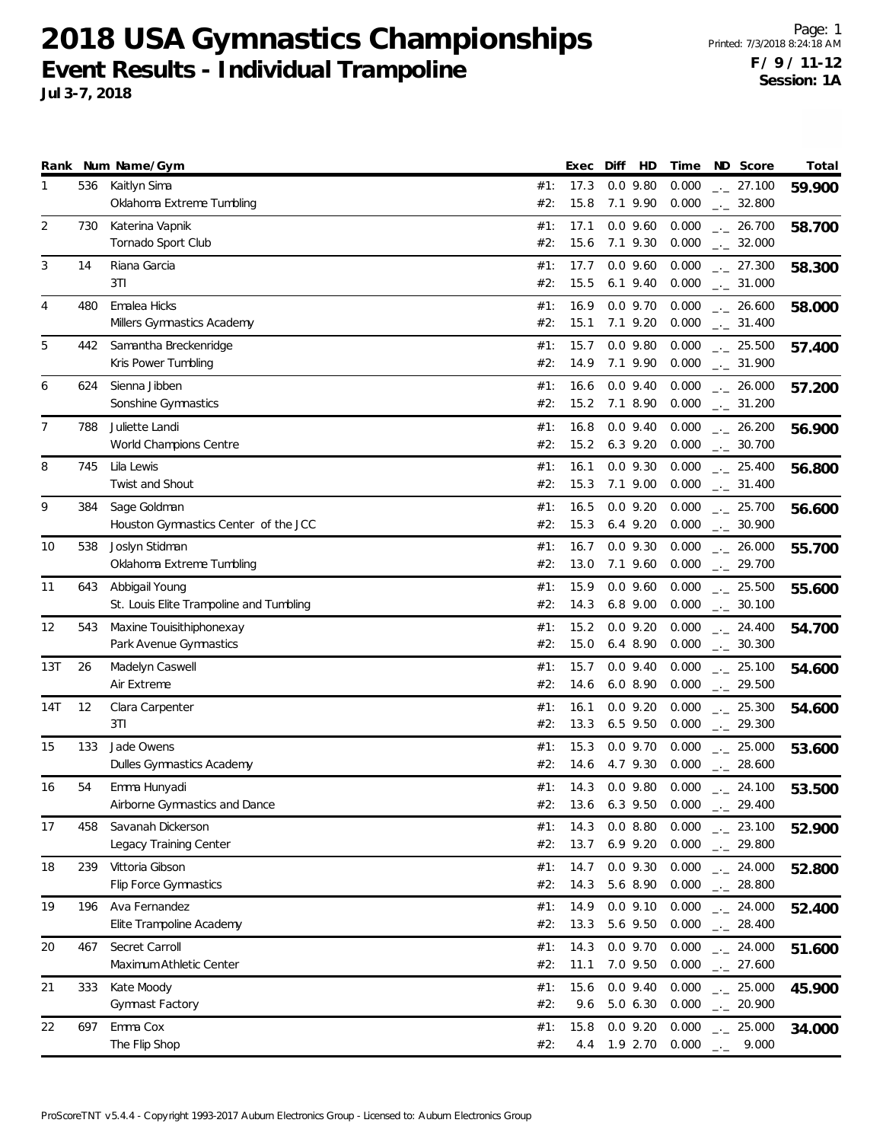|     |     | Rank Num Name/Gym                                         |            | Exec         | Diff | HD                       | Time                         | ND Score                                     | Total  |
|-----|-----|-----------------------------------------------------------|------------|--------------|------|--------------------------|------------------------------|----------------------------------------------|--------|
| 1   | 536 | Kaitlyn Sima<br>Oklahoma Extreme Tumbling                 | #1:<br>#2: | 17.3<br>15.8 |      | $0.0$ 9.80<br>7.1 9.90   | 0.000<br>0.000               | $\frac{1}{2}$ 27.100<br>$\frac{1}{2}$ 32.800 | 59.900 |
| 2   | 730 | Katerina Vapnik<br>Tornado Sport Club                     | #1:<br>#2: | 17.1<br>15.6 |      | $0.0$ 9.60<br>7.1 9.30   | 0.000<br>0.000               | $-26.700$<br>$-2.000$                        | 58.700 |
| 3   | 14  | Riana Garcia<br>3T1                                       | #1:<br>#2: | 17.7<br>15.5 |      | $0.0$ 9.60<br>$6.1$ 9.40 | 0.000<br>0.000               | $-27.300$<br>$-2.31.000$                     | 58.300 |
| 4   | 480 | Emalea Hicks<br>Millers Gymnastics Academy                | #1:<br>#2: | 16.9<br>15.1 |      | $0.0$ 9.70<br>7.1 9.20   | 0.000<br>0.000               | $-26.600$<br>$-2$ 31.400                     | 58.000 |
| 5   | 442 | Samantha Breckenridge<br>Kris Power Tumbling              | #1:<br>#2: | 15.7<br>14.9 |      | $0.0$ 9.80<br>7.1 9.90   | 0.000<br>0.000               | $\frac{1}{2}$ 25.500<br>$-2$ 31.900          | 57.400 |
| 6   | 624 | Sienna Jibben<br>Sonshine Gymnastics                      | #1:<br>#2: | 16.6<br>15.2 |      | $0.0$ 9.40<br>7.1 8.90   | 0.000<br>0.000               | $-26.000$<br>$\frac{1}{2}$ 31.200            | 57.200 |
| 7   | 788 | Juliette Landi<br>World Champions Centre                  | #1:<br>#2: | 16.8<br>15.2 |      | $0.0$ 9.40<br>$6.3$ 9.20 | 0.000<br>0.000               | $\frac{1}{2}$ 26.200<br>$\frac{1}{2}$ 30.700 | 56.900 |
| 8   | 745 | Lila Lewis<br>Twist and Shout                             | #1:<br>#2: | 16.1<br>15.3 |      | $0.0$ 9.30<br>7.1 9.00   | 0.000<br>0.000               | $-25.400$<br>$-2$ 31.400                     | 56.800 |
| 9   | 384 | Sage Goldman<br>Houston Gymnastics Center of the JCC      | #1:<br>#2: | 16.5<br>15.3 |      | $0.0$ 9.20<br>$6.4$ 9.20 | 0.000<br>0.000               | $-25.700$<br>$\frac{1}{2}$ 30.900            | 56.600 |
| 10  | 538 | Joslyn Stidman<br>Oklahoma Extreme Tumbling               | #1:<br>#2: | 16.7<br>13.0 |      | $0.0$ 9.30<br>7.1 9.60   | 0.000<br>0.000               | $\frac{1}{2}$ 26.000<br>$-29.700$            | 55.700 |
| 11  | 643 | Abbigail Young<br>St. Louis Elite Trampoline and Tumbling | #1:<br>#2: | 15.9<br>14.3 |      | $0.0$ 9.60<br>6.8 9.00   | 0.000<br>0.000               | $-25.500$<br>$-2$ 30.100                     | 55.600 |
| 12  | 543 | Maxine Touisithiphonexay<br>Park Avenue Gymnastics        | #1:<br>#2: | 15.2<br>15.0 |      | $0.0$ 9.20<br>$6.4$ 8.90 | 0.000<br>0.000               | $-24.400$<br>$\frac{1}{2}$ 30.300            | 54.700 |
| 13T | 26  | Madelyn Caswell<br>Air Extreme                            | #1:<br>#2: | 15.7<br>14.6 |      | $0.0$ 9.40<br>6.08.90    | 0.000<br>0.000               | $\frac{1}{2}$ 25.100<br>$-29.500$            | 54.600 |
| 14T | 12  | Clara Carpenter<br>3T1                                    | #1:<br>#2: | 16.1<br>13.3 |      | $0.0$ 9.20<br>6.5 9.50   | 0.000<br>0.000               | $\frac{1}{2}$ 25.300<br>$-29.300$            | 54.600 |
| 15  | 133 | Jade Owens<br>Dulles Gymnastics Academy                   | #1:<br>#2: | 15.3<br>14.6 |      | $0.0$ 9.70<br>4.7 9.30   | 0.000<br>0.000               | $\frac{1}{2}$ 25.000<br>$-28.600$            | 53.600 |
| 16  | 54  | Emma Hunyadi<br>Airborne Gymnastics and Dance             | #1:<br>#2: | 14.3         |      | $0.0$ 9.80               | 0.000<br>13.6 6.3 9.50 0.000 | $-24.100$<br>$-29.400$                       | 53.500 |
| 17  | 458 | Savanah Dickerson<br>Legacy Training Center               | #1:<br>#2: | 14.3<br>13.7 |      | 0.08.80<br>$6.9$ $9.20$  | 0.000<br>0.000               | $-23.100$<br>$-29.800$                       | 52.900 |
| 18  | 239 | Vittoria Gibson<br><b>Flip Force Gymnastics</b>           | #1:<br>#2: | 14.7<br>14.3 |      | $0.0$ 9.30<br>5.6 8.90   | 0.000<br>0.000               | $-24.000$<br>$-.28.800$                      | 52.800 |
| 19  | 196 | Ava Fernandez<br>Elite Trampoline Academy                 | #1:<br>#2: | 14.9<br>13.3 |      | $0.0$ 9.10<br>5.6 9.50   | 0.000<br>0.000               | $-24.000$<br>$-28.400$                       | 52.400 |
| 20  | 467 | Secret Carroll<br>Maximum Athletic Center                 | #1:<br>#2: | 14.3<br>11.1 |      | $0.0$ 9.70<br>7.0 9.50   | 0.000<br>0.000               | $\frac{1}{2}$ 24.000<br>$\frac{1}{2}$ 27.600 | 51.600 |
| 21  | 333 | Kate Moody<br><b>Gymnast Factory</b>                      | #1:<br>#2: | 15.6<br>9.6  |      | $0.0$ 9.40<br>5.0 6.30   | 0.000<br>0.000               | $-25.000$<br>$-20.900$                       | 45.900 |
| 22  | 697 | Emma Cox<br>The Flip Shop                                 | #1:<br>#2: | 15.8<br>4.4  |      | $0.0$ 9.20<br>1.9 2.70   | 0.000<br>0.000               | $-25.000$<br>9.000<br>$-1$                   | 34.000 |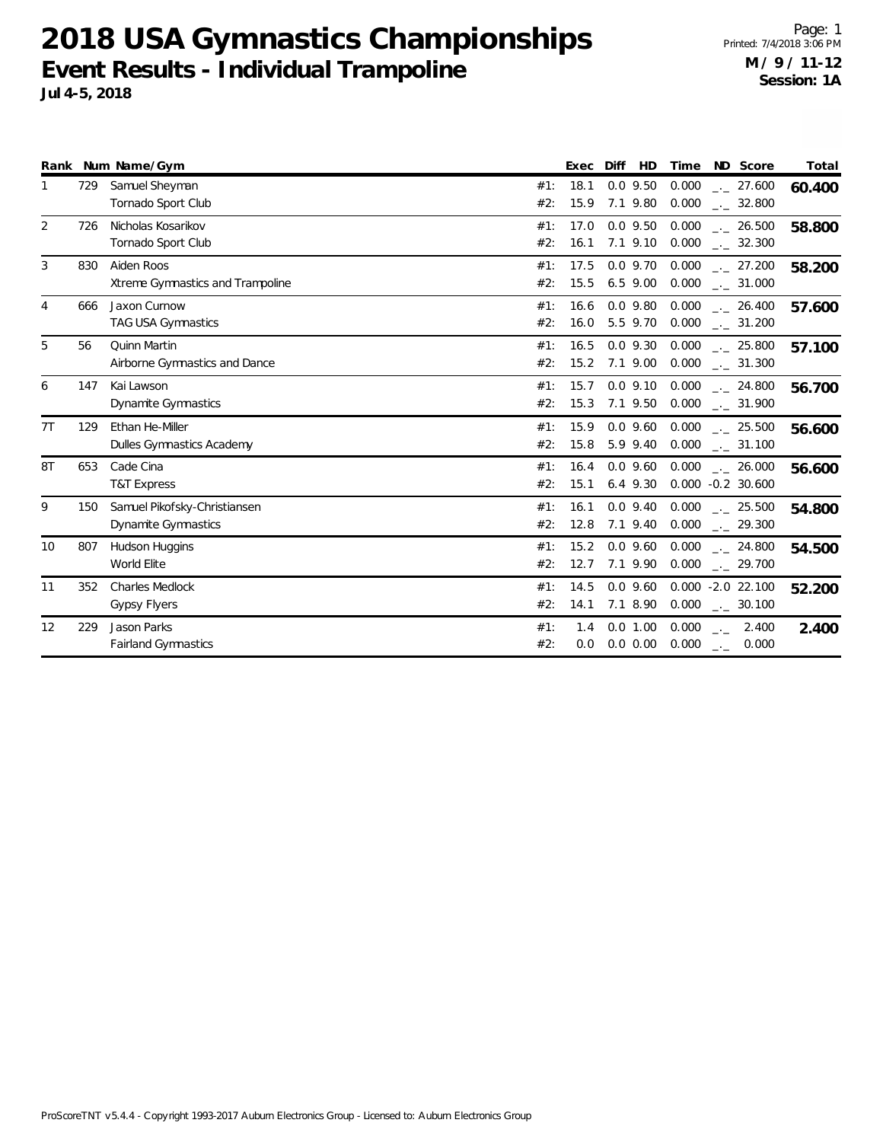Xtreme Gymnastics and Trampoline

Airborne Gymnastics and Dance

TAG USA Gymnastics

Dynamite Gymnastics

Dynamite Gymnastics

T&T Express

World Elite

Gypsy Flyers

Fairland Gymnastics

Dulles Gymnastics Academy

Page: 1 Printed: 7/4/2018 3:06 PM **M / 9 / 11-12 Session: 1A**

\_.\_ **58.200**

\_.\_ **57.600**

\_.\_ **57.100**

\_.\_ **56.700**

\_.\_ **56.600**

 $\frac{1}{2}$  26.000 56.600 26.000

\_.\_ **54.800**

 $\frac{1}{2}$  24.800 54.500

-2.0 **52.200** 22.100

 $\frac{1}{2}$  2.400 2.400

2.400

27.200

26.400

25.800

24.800

25.500

25.500

24.800

0.000

0.000

0.000

0.000

0.000

0.000

0.000

0.000

0.000

 $15.5$  6.5 9.00 0.000  $\ldots$ 

0.0 9.80

0.0 9.30

0.0 9.10

0.0 9.60

9.30

0.0 9.40

0.0 9.60

0.0 9.60

 $0.0 1.00$ 

#1: 17.5 0.0 9.70

#1: 16.4 0.0 9.60

#2: 15.5 6.5 9.00 0.000  $\frac{1}{2}$  31.000

#2: 16.0 5.5 9.70 0.000 \_\_\_ 31.200

#2: 15.2 7.1 9.00 0.000 \_\_\_ 31.300

#2: 15.3 7.1 9.50 0.000 \_\_\_ 31.900

#2: 15.8 5.9 9.40 0.000 \_\_\_ 31.100

#2: 15.1 6.4 9.30 0.000 -0.2 30.600

#2: 12.8 7.1 9.40 0.000 <sub>--</sub> 29.300

#2: 12.7 7.1 9.90 0.000 <sub>\_</sub>.\_ 29.700

#2: 14.1 7.1 8.90 0.000 \_.\_ 30.100

 $#2: 0.0 0.0 0.00 0.000 ... 0.000$ 

|   | Jul 4-5, 2018 |                    |                                                  |          |        |
|---|---------------|--------------------|--------------------------------------------------|----------|--------|
|   |               | Rank Num Name/Gym  | Exec Diff<br>Time<br>HD.                         | ND Score | Total  |
|   | 729           | Samuel Sheyman     | #1: 18.1 0.0 9.50 0.000 $\frac{1}{2}$ 27.600     |          | 60.400 |
|   |               | Tornado Sport Club | #2: 15.9 7.1 9.80 0.000 . 32.800                 |          |        |
| 2 | 726           | Nicholas Kosarikov | #1: 17.0 0.0 9.50 0.000 $\frac{1}{2}$ 26.500     |          | 58.800 |
|   |               | Tornado Sport Club | $0.000$ $_{\sim}$ 32.300<br>7.1 9.10<br>#2: 16.1 |          |        |

3 830 Aiden Roos 0.000

4 666 Jaxon Curnow 2008 12: 20:30 12:30 12:30 12:30 12:30 12:30 12:30 12:30 12:30 12:30 12:30 12:30 12:30 12:30 12:30 12:30 12:30 12:30 12:30 12:30 12:30 12:30 12:30 12:30 12:30 12:30 12:30 12:30 12:30 12:30 12:30 12:30 12

5 56 Quinn Martin 0.000

6 147 Kai Lawson 2000 147 Kai Lawson 2000 147 Kai Lawson 2000 147 Kai Lawson 2000 147 Kai Lawson 2000 147 Kai Lawson 2000 147 Kai Lawson 2000 147 Kai Lawson 2000 147 Kai Lawson 2000 147 Kai Lawson 2000 147 Kai Lawson 2000

7T 129 Ethan He-Miller 0.000

8T 653 Cade Cina 0.000

9 150 Samuel Pikofsky-Christiansen 2000 1990 1991 1991 1992 1993 1994 1: 16.1 0.0 9.40 0.000

10 807 Hudson Huggins 0.000

12 229 Jason Parks **12 229 Jason Parks 12 229 Jason Parks 12** 229 Jason Parks 2000 1.000 1.000 1.000 1.000 1.000 1.000 1.000 1.000 1.000 1.000 1.000 1.000 1.000 1.000 1.000 1.000 1.000 1.000 1.000 1.000 1.000 1.000 1.000 1

11 352 Charles Medlock 0.000

|  | ProScoreTNT v 5.4.4 - Copyright 1993-2017 Auburn Electronics Group - Licensed to: Auburn Electronics Group |  |
|--|------------------------------------------------------------------------------------------------------------|--|
|  |                                                                                                            |  |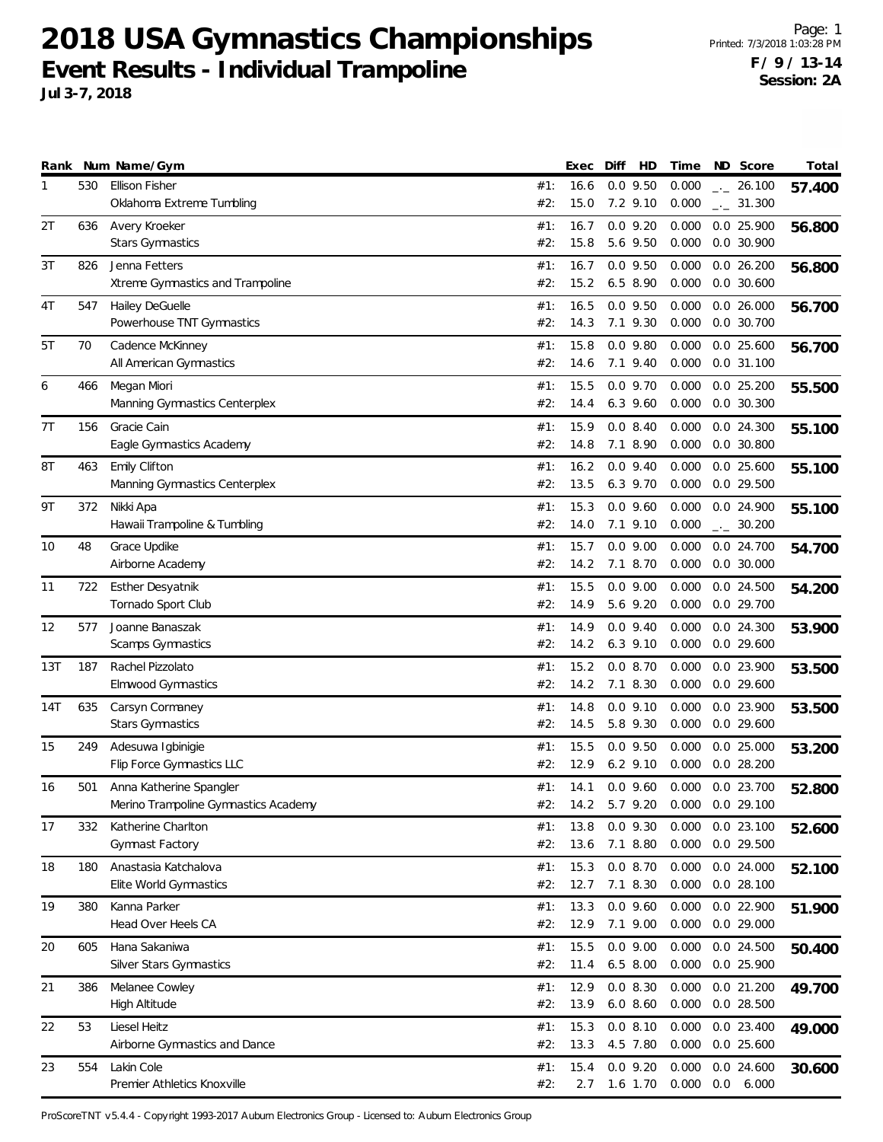Page: 1 Printed: 7/3/2018 1:03:28 PM **F / 9 / 13-14 Session: 2A**

|     |     | Rank Num Name/Gym                                  |            | Exec         | Diff<br>HD                 | Time           | ND Score                            | Total  |
|-----|-----|----------------------------------------------------|------------|--------------|----------------------------|----------------|-------------------------------------|--------|
| 1   | 530 | <b>Ellison Fisher</b><br>Oklahoma Extreme Tumbling | #1:<br>#2: | 16.6<br>15.0 | $0.0$ 9.50<br>7.2 9.10     | 0.000<br>0.000 | $\frac{1}{2}$ 26.100<br>$-2$ 31.300 | 57.400 |
| 2T  | 636 | Avery Kroeker                                      | #1:        | 16.7         | $0.0$ 9.20                 | 0.000          | 0.0 25.900                          |        |
|     |     | <b>Stars Gymnastics</b>                            | #2:        | 15.8         | 5.6 9.50                   | 0.000          | $0.0$ 30.900                        | 56.800 |
| 3T  | 826 | Jenna Fetters                                      | #1:        | 16.7         | $0.0$ 9.50                 | 0.000          | 0.026.200                           | 56.800 |
|     |     | Xtreme Gymnastics and Trampoline                   | #2:        | 15.2         | 6.5 8.90                   | 0.000          | $0.0$ 30.600                        |        |
| 4T  | 547 | Hailey DeGuelle                                    | #1:        | 16.5         | $0.0$ 9.50                 | 0.000          | $0.0$ 26.000                        | 56.700 |
|     |     | Powerhouse TNT Gymnastics                          | #2:        | 14.3         | 7.1 9.30                   | 0.000          | $0.0$ 30.700                        |        |
| 5T  | 70  | Cadence McKinney                                   | #1:        | 15.8         | $0.0$ $9.80$               | 0.000          | $0.0$ 25.600                        | 56.700 |
|     |     | All American Gymnastics                            | #2:        | 14.6         | 7.1 9.40                   | 0.000          | $0.0$ 31.100                        |        |
| 6   | 466 | Megan Miori                                        | #1:        | 15.5         | $0.0$ 9.70                 | 0.000          | 0.025.200                           | 55.500 |
|     |     | Manning Gymnastics Centerplex                      | #2:        | 14.4         | 6.3 9.60                   | 0.000          | $0.0$ 30.300                        |        |
| 7T  | 156 | Gracie Cain<br>Eagle Gymnastics Academy            | #1:<br>#2: | 15.9<br>14.8 | $0.0$ 8.40<br>7.1 8.90     | 0.000<br>0.000 | $0.0$ 24.300<br>$0.0$ 30.800        | 55.100 |
| 8T  | 463 | Emily Clifton                                      | #1:        | 16.2         | $0.0$ 9.40                 | 0.000          | $0.0$ 25.600                        |        |
|     |     | Manning Gymnastics Centerplex                      | #2:        | 13.5         | 6.3 9.70                   | 0.000          | 0.0 29.500                          | 55.100 |
| 9Τ  | 372 | Nikki Apa                                          | #1:        | 15.3         | $0.0$ 9.60                 | 0.000          | 0.0 24.900                          | 55.100 |
|     |     | Hawaii Trampoline & Tumbling                       | #2:        | 14.0         | 7.1 9.10                   | 0.000          | $-2$ 30.200                         |        |
| 10  | 48  | Grace Updike                                       | #1:        | 15.7         | $0.0$ $9.00$               | 0.000          | 0.0 24.700                          | 54.700 |
|     |     | Airborne Academy                                   | #2:        | 14.2         | 7.1 8.70                   | 0.000          | $0.0$ 30.000                        |        |
| 11  | 722 | <b>Esther Desyatnik</b>                            | #1:        | 15.5         | $0.0$ $9.00$               | 0.000          | $0.0$ 24.500                        | 54.200 |
|     |     | Tornado Sport Club                                 | #2:        | 14.9         | 5.6 9.20                   | 0.000          | 0.0 29.700                          |        |
| 12  | 577 | Joanne Banaszak                                    | #1:        | 14.9         | $0.0$ 9.40                 | 0.000          | $0.0$ 24.300                        | 53.900 |
|     |     | Scamps Gymnastics                                  | #2:        | 14.2         | $6.3$ 9.10                 | 0.000          | 0.029.600                           |        |
| 13T | 187 | Rachel Pizzolato                                   | #1:        | 15.2         | 0.08.70                    | 0.000          | 0.0 23.900                          | 53.500 |
|     |     | Elmwood Gymnastics                                 | #2:        | 14.2         | 7.1 8.30                   | 0.000          | $0.0$ 29.600                        |        |
| 14T | 635 | Carsyn Cormaney                                    | #1:        | 14.8         | $0.0$ $9.10$               | 0.000          | 0.0 23.900<br>$0.0$ 29.600          | 53.500 |
|     |     | <b>Stars Gymnastics</b>                            | #2:        | 14.5         | 5.8 9.30                   | 0.000          |                                     |        |
| 15  | 249 | Adesuwa Igbinigie<br>Flip Force Gymnastics LLC     | #1:<br>#2: | 15.5<br>12.9 | $0.0$ 9.50<br>$6.2$ $9.10$ | 0.000<br>0.000 | $0.0$ 25.000<br>$0.0$ 28.200        | 53.200 |
| 16  | 501 | Anna Katherine Spangler                            | #1:        | 14.1         | $0.0$ 9.60                 | 0.000          | 0.0 23.700                          |        |
|     |     | Merino Trampoline Gymnastics Academy               | #2:        | 14.2         | 5.7 9.20                   | 0.000          | 0.029.100                           | 52.800 |
| 17  | 332 | Katherine Charlton                                 | #1:        | 13.8         | $0.0$ 9.30                 | 0.000          | 0.023.100                           | 52.600 |
|     |     | <b>Gymnast Factory</b>                             | #2:        | 13.6         | 7.1 8.80                   | 0.000          | 0.0 29.500                          |        |
| 18  | 180 | Anastasia Katchalova                               | #1:        | 15.3         | 0.08.70                    | 0.000          | 0.0 24.000                          | 52.100 |
|     |     | Elite World Gymnastics                             | #2:        | 12.7         | 7.1 8.30                   | 0.000          | 0.028.100                           |        |
| 19  | 380 | Kanna Parker                                       | #1:        | 13.3         | $0.0$ 9.60                 | 0.000          | 0.0 22.900                          | 51.900 |
|     |     | Head Over Heels CA                                 | #2:        | 12.9         | 7.1 9.00                   | 0.000          | $0.0$ 29.000                        |        |
| 20  | 605 | Hana Sakaniwa                                      | #1:        | 15.5         | $0.0$ $9.00$               | 0.000          | 0.0 24.500                          | 50.400 |
|     |     | Silver Stars Gymnastics                            | #2:        | 11.4         | 6.5 8.00                   | 0.000          | 0.0 25.900                          |        |
| 21  | 386 | Melanee Cowley                                     | #1:        | 12.9         | 0.08.30                    | 0.000          | 0.0 21.200                          | 49.700 |
|     |     | High Altitude                                      | #2:        | 13.9         | $6.0$ $8.60$               | 0.000          | $0.0$ 28.500                        |        |
| 22  | 53  | Liesel Heitz                                       | #1:<br>#2: | 15.3<br>13.3 | 0.08.10                    | 0.000          | 0.0 23.400                          | 49.000 |
|     |     | Airborne Gymnastics and Dance                      |            |              | 4.5 7.80                   | 0.000          | 0.0 25.600                          |        |
| 23  | 554 | Lakin Cole<br>Premier Athletics Knoxville          | #1:<br>#2: | 15.4<br>2.7  | $0.0$ 9.20<br>1.6 1.70     | 0.000<br>0.000 | $0.0$ 24.600<br>0.0<br>6.000        | 30.600 |
|     |     |                                                    |            |              |                            |                |                                     |        |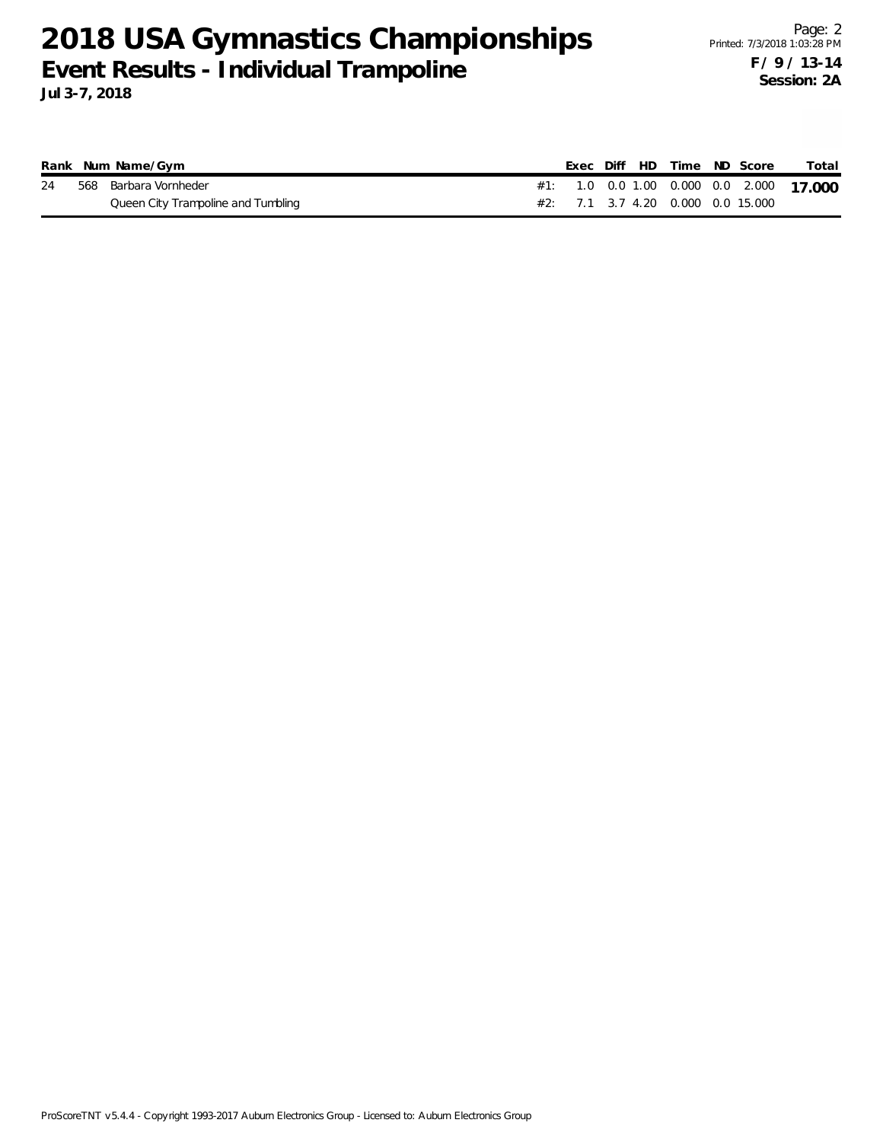|    | Rank Num Name/Gym                  |  |  |  | Exec Diff HD Time ND Score        | Total                                   |
|----|------------------------------------|--|--|--|-----------------------------------|-----------------------------------------|
| 24 | 568 Barbara Vornheder              |  |  |  |                                   | #1: 1.0 0.0 1.00 0.000 0.0 2.000 17.000 |
|    | Queen City Trampoline and Tumbling |  |  |  | #2: 7.1 3.7 4.20 0.000 0.0 15.000 |                                         |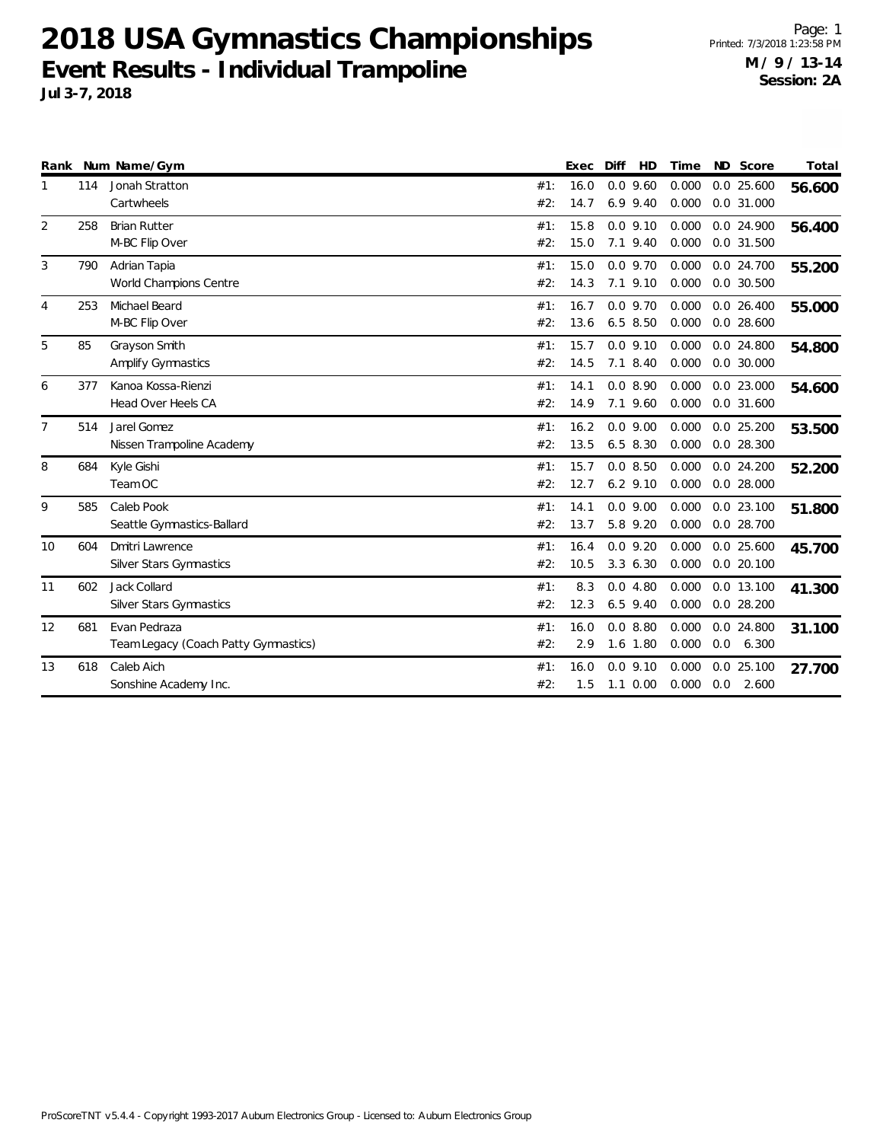|                |     | Rank Num Name/Gym                    |     | Exec | Diff | HD           | Time  |     | ND Score     | Total  |
|----------------|-----|--------------------------------------|-----|------|------|--------------|-------|-----|--------------|--------|
|                | 114 | Jonah Stratton                       | #1: | 16.0 |      | $0.0$ 9.60   | 0.000 |     | $0.0$ 25.600 | 56.600 |
|                |     | Cartwheels                           | #2: | 14.7 |      | $6.9$ $9.40$ | 0.000 |     | 0.0 31.000   |        |
| 2              | 258 | <b>Brian Rutter</b>                  | #1: | 15.8 |      | $0.0$ 9.10   | 0.000 |     | 0.0 24.900   | 56.400 |
|                |     | M-BC Flip Over                       | #2: | 15.0 |      | 7.1 9.40     | 0.000 |     | 0.0 31.500   |        |
| 3              | 790 | Adrian Tapia                         | #1: | 15.0 |      | $0.0$ 9.70   | 0.000 |     | 0.0 24.700   | 55.200 |
|                |     | World Champions Centre               | #2: | 14.3 |      | $7.1$ $9.10$ | 0.000 |     | $0.0$ 30.500 |        |
| 4              | 253 | Michael Beard                        | #1: | 16.7 |      | $0.0$ 9.70   | 0.000 |     | $0.0$ 26.400 | 55.000 |
|                |     | M-BC Flip Over                       | #2: | 13.6 |      | $6.5$ 8.50   | 0.000 |     | $0.0$ 28.600 |        |
| 5              | 85  | Grayson Smith                        | #1: | 15.7 |      | $0.0$ 9.10   | 0.000 |     | 0.0 24.800   | 54.800 |
|                |     | Amplify Gymnastics                   | #2: | 14.5 |      | 7.1 8.40     | 0.000 |     | $0.0$ 30.000 |        |
| 6              | 377 | Kanoa Kossa-Rienzi                   | #1: | 14.1 |      | 0.08.90      | 0.000 |     | 0.0 23.000   | 54.600 |
|                |     | Head Over Heels CA                   | #2: | 14.9 |      | 7.1 9.60     | 0.000 |     | 0.0 31.600   |        |
| $\overline{7}$ | 514 | Jarel Gomez                          | #1: | 16.2 |      | $0.0$ 9.00   | 0.000 |     | $0.0$ 25.200 | 53.500 |
|                |     | Nissen Trampoline Academy            | #2: | 13.5 |      | $6.5$ 8.30   | 0.000 |     | 0.0 28.300   |        |
| 8              | 684 | Kyle Gishi                           | #1: | 15.7 |      | 0.08.50      | 0.000 |     | $0.0$ 24.200 | 52.200 |
|                |     | Team OC                              | #2: | 12.7 |      | $6.2$ 9.10   | 0.000 |     | $0.0$ 28.000 |        |
| 9              | 585 | Caleb Pook                           | #1: | 14.1 |      | 0.09.00      | 0.000 |     | $0.0$ 23.100 | 51.800 |
|                |     | Seattle Gymnastics-Ballard           | #2: | 13.7 |      | 5.8 9.20     | 0.000 |     | 0.0 28.700   |        |
| 10             | 604 | <b>Dmitri Lawrence</b>               | #1: | 16.4 |      | $0.0$ 9.20   | 0.000 |     | $0.0$ 25.600 | 45.700 |
|                |     | <b>Silver Stars Gymnastics</b>       | #2: | 10.5 |      | 3.36.30      | 0.000 |     | $0.0$ 20.100 |        |
| 11             | 602 | Jack Collard                         | #1: | 8.3  |      | 0.04.80      | 0.000 |     | 0.0 13.100   | 41.300 |
|                |     | Silver Stars Gymnastics              | #2: | 12.3 |      | $6.5$ 9.40   | 0.000 |     | $0.0$ 28.200 |        |
| 12             | 681 | Evan Pedraza                         | #1: | 16.0 |      | 0.08.80      | 0.000 |     | 0.0 24.800   | 31.100 |
|                |     | Team Legacy (Coach Patty Gymnastics) | #2: | 2.9  |      | 1.6 1.80     | 0.000 | 0.0 | 6.300        |        |
| 13             | 618 | Caleb Aich                           | #1: | 16.0 |      | 0.09.10      | 0.000 |     | $0.0$ 25.100 | 27.700 |
|                |     | Sonshine Academy Inc.                | #2: | 1.5  |      | $1.1 \ 0.00$ | 0.000 | 0.0 | 2.600        |        |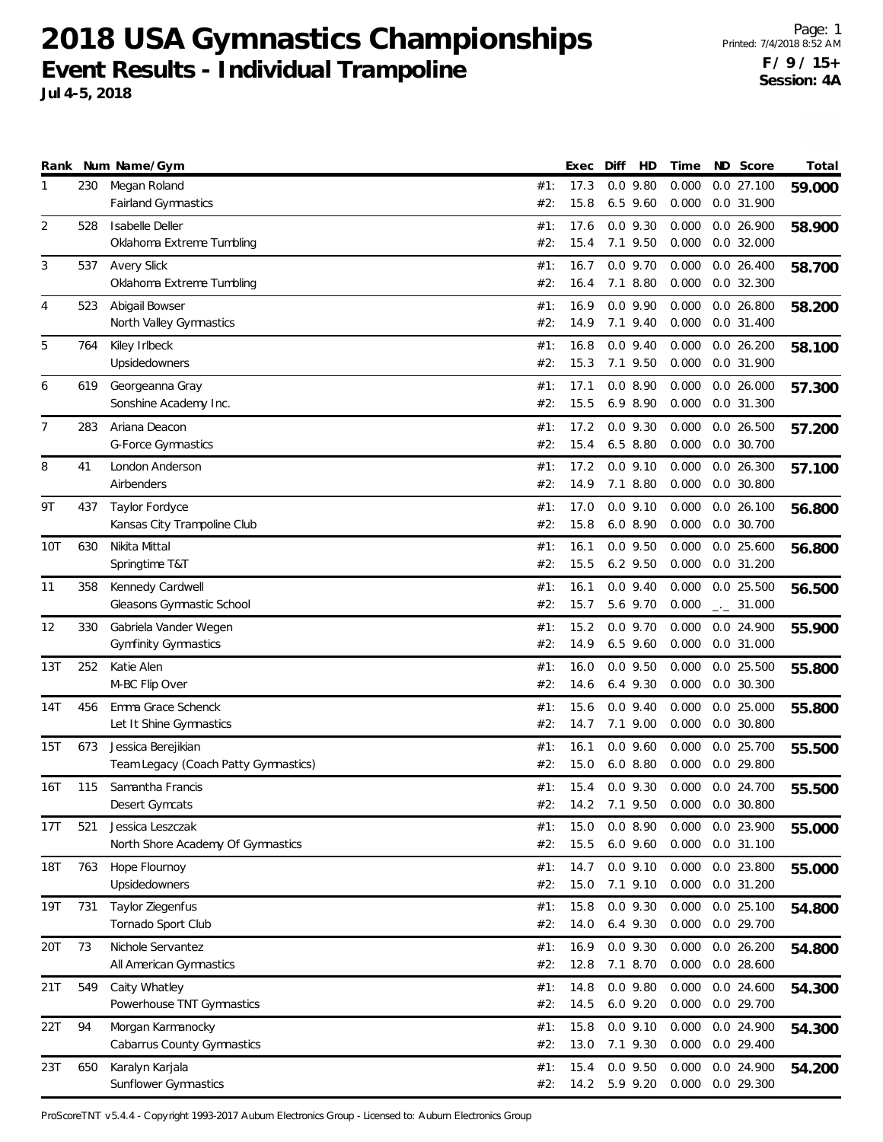Page: 1 Printed: 7/4/2018 8:52 AM **F / 9 / 15+ Session: 4A**

| Rank           |     | Num Name/Gym                                               |            | Exec         | Diff | HD                         | Time           | ND Score                       | Total  |
|----------------|-----|------------------------------------------------------------|------------|--------------|------|----------------------------|----------------|--------------------------------|--------|
| 1              | 230 | Megan Roland<br>Fairland Gymnastics                        | #1:<br>#2: | 17.3<br>15.8 |      | $0.0$ 9.80<br>$6.5$ 9.60   | 0.000<br>0.000 | $0.0$ 27.100<br>0.0 31.900     | 59.000 |
| $\overline{2}$ | 528 | Isabelle Deller<br>Oklahoma Extreme Tumbling               | #1:<br>#2: | 17.6<br>15.4 |      | $0.0$ 9.30<br>7.1 9.50     | 0.000<br>0.000 | 0.026.900<br>$0.0$ 32.000      | 58.900 |
| 3              | 537 | <b>Avery Slick</b><br>Oklahoma Extreme Tumbling            | #1:<br>#2: | 16.7<br>16.4 |      | $0.0$ 9.70<br>7.1 8.80     | 0.000<br>0.000 | $0.0$ 26.400<br>$0.0$ 32.300   | 58.700 |
| 4              | 523 | Abigail Bowser<br>North Valley Gymnastics                  | #1:<br>#2: | 16.9<br>14.9 |      | $0.0$ 9.90<br>7.1 9.40     | 0.000<br>0.000 | 0.026.800<br>$0.0$ 31.400      | 58.200 |
| 5              | 764 | Kiley Irlbeck<br>Upsidedowners                             | #1:<br>#2: | 16.8<br>15.3 |      | $0.0$ 9.40<br>7.1 9.50     | 0.000<br>0.000 | 0.026.200<br>0.0 31.900        | 58.100 |
| 6              | 619 | Georgeanna Gray<br>Sonshine Academy Inc.                   | #1:<br>#2: | 17.1<br>15.5 |      | 0.08.90<br>6.9 8.90        | 0.000<br>0.000 | 0.026.000<br>0.0 31.300        | 57.300 |
| 7              | 283 | Ariana Deacon<br><b>G-Force Gymnastics</b>                 | #1:<br>#2: | 17.2<br>15.4 |      | $0.0$ 9.30<br>$6.5$ 8.80   | 0.000<br>0.000 | 0.026.500<br>0.0 30.700        | 57.200 |
| 8              | 41  | London Anderson<br>Airbenders                              | #1:<br>#2: | 17.2<br>14.9 |      | $0.0$ 9.10<br>7.1 8.80     | 0.000<br>0.000 | 0.026.300<br>$0.0$ 30.800      | 57.100 |
| 9T             | 437 | Taylor Fordyce<br>Kansas City Trampoline Club              | #1:<br>#2: | 17.0<br>15.8 |      | $0.0$ 9.10<br>6.08.90      | 0.000<br>0.000 | 0.026.100<br>0.0 30.700        | 56.800 |
| 10T            | 630 | Nikita Mittal<br>Springtime T&T                            | #1:<br>#2: | 16.1<br>15.5 |      | $0.0$ 9.50<br>$6.2$ 9.50   | 0.000<br>0.000 | $0.0$ 25.600<br>$0.0$ 31.200   | 56.800 |
| 11             | 358 | Kennedy Cardwell<br>Gleasons Gymnastic School              | #1:<br>#2: | 16.1<br>15.7 |      | $0.0$ 9.40<br>5.6 9.70     | 0.000<br>0.000 | $0.0$ 25.500<br>$-2$ 31.000    | 56.500 |
| 12             | 330 | Gabriela Vander Wegen<br><b>Gymfinity Gymnastics</b>       | #1:<br>#2: | 15.2<br>14.9 |      | $0.0$ 9.70<br>$6.5$ 9.60   | 0.000<br>0.000 | 0.0 24.900<br>0.0 31.000       | 55.900 |
| 13T            | 252 | Katie Alen<br>M-BC Flip Over                               | #1:<br>#2: | 16.0<br>14.6 |      | $0.0$ 9.50<br>$6.4$ 9.30   | 0.000<br>0.000 | $0.0$ 25.500<br>$0.0$ 30.300   | 55.800 |
| 14T            | 456 | Emma Grace Schenck<br>Let It Shine Gymnastics              | #1:<br>#2: | 15.6<br>14.7 |      | $0.0$ 9.40<br>7.1 9.00     | 0.000<br>0.000 | $0.0$ 25.000<br>$0.0$ 30.800   | 55.800 |
| 15T            | 673 | Jessica Berejikian<br>Team Legacy (Coach Patty Gymnastics) | #1:<br>#2: | 16.1<br>15.0 |      | $0.0$ 9.60<br>6.08.80      | 0.000<br>0.000 | 0.025.700<br>0.0 29.800        | 55.500 |
| 16T            | 115 | Samantha Francis<br>Desert Gymcats                         | #1:<br>#2: | 15.4<br>14.2 |      | $0.0$ 9.30<br>7.1 9.50     | 0.000          | 0.0 24.700<br>0.000 0.0 30.800 | 55.500 |
| 17T            | 521 | Jessica Leszczak<br>North Shore Academy Of Gymnastics      | #1:<br>#2: | 15.0<br>15.5 |      | 0.08.90<br>$6.0$ $9.60$    | 0.000<br>0.000 | 0.0 23.900<br>0.0 31.100       | 55.000 |
| 18T            | 763 | Hope Flournoy<br>Upsidedowners                             | #1:<br>#2: | 14.7<br>15.0 |      | $0.0$ 9.10<br>7.1 9.10     | 0.000<br>0.000 | 0.0 23.800<br>$0.0$ 31.200     | 55.000 |
| 19T            | 731 | Taylor Ziegenfus<br>Tornado Sport Club                     | #1:<br>#2: | 15.8<br>14.0 |      | $0.0$ 9.30<br>6.4 9.30     | 0.000<br>0.000 | 0.0 25.100<br>0.0 29.700       | 54.800 |
| 20T            | 73  | Nichole Servantez<br>All American Gymnastics               | #1:<br>#2: | 16.9<br>12.8 |      | $0.0$ 9.30<br>7.1 8.70     | 0.000<br>0.000 | 0.0 26.200<br>0.0 28.600       | 54.800 |
| 21T            | 549 | Caity Whatley<br>Powerhouse TNT Gymnastics                 | #1:<br>#2: | 14.8<br>14.5 |      | $0.0$ 9.80<br>$6.0$ $9.20$ | 0.000<br>0.000 | $0.0$ 24.600<br>0.0 29.700     | 54.300 |
| 22T            | 94  | Morgan Karmanocky<br>Cabarrus County Gymnastics            | #1:<br>#2: | 15.8<br>13.0 |      | $0.0$ 9.10<br>7.1 9.30     | 0.000<br>0.000 | 0.0 24.900<br>$0.0$ 29.400     | 54.300 |
| 23T            | 650 | Karalyn Karjala<br>Sunflower Gymnastics                    | #1:<br>#2: | 15.4<br>14.2 |      | $0.0$ 9.50<br>5.9 9.20     | 0.000<br>0.000 | 0.0 24.900<br>0.0 29.300       | 54.200 |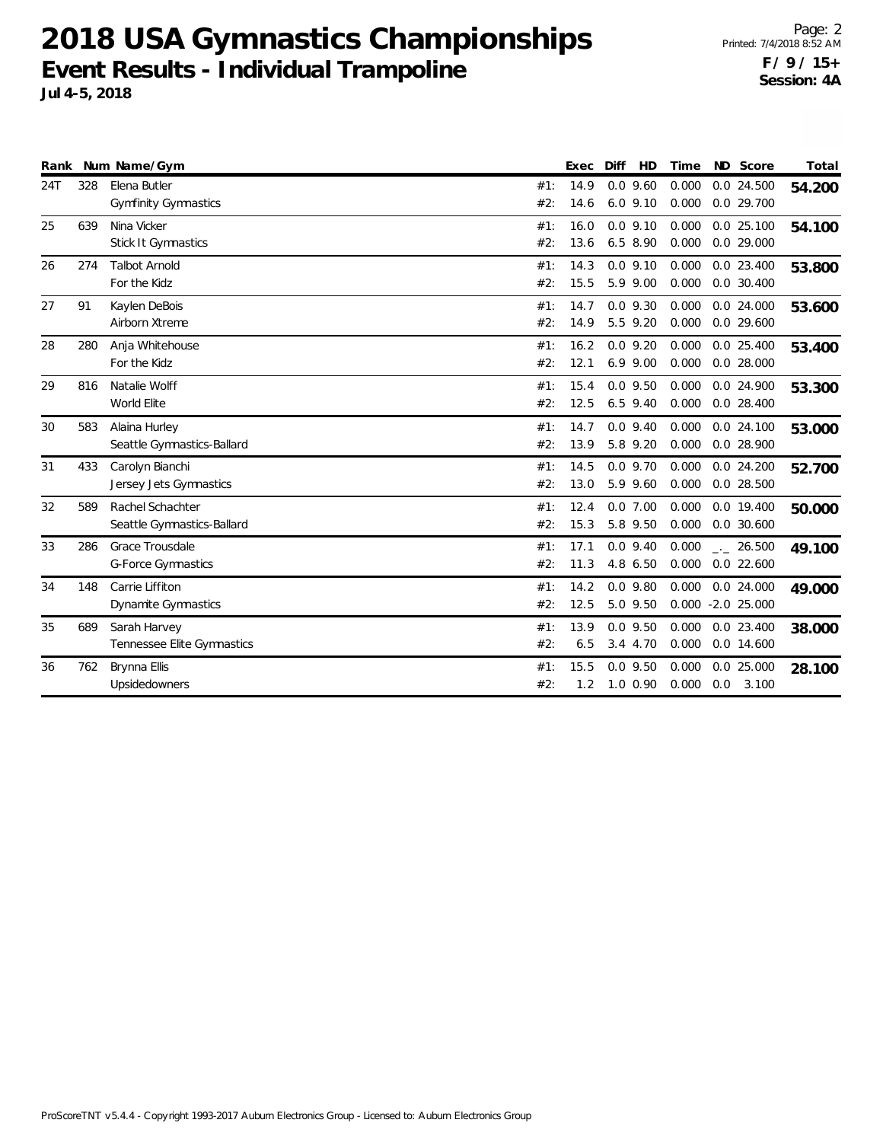Page: 2 Printed: 7/4/2018 8:52 AM **F / 9 / 15+ Session: 4A**

| Event Results - Individual Trampoline |  |  |
|---------------------------------------|--|--|
| Jul 4-5, 2018                         |  |  |

|     |     | Rank Num Name/Gym           |     | Exec | Diff         | HD | Time  |     | ND Score             | Total  |
|-----|-----|-----------------------------|-----|------|--------------|----|-------|-----|----------------------|--------|
| 24T | 328 | Elena Butler                | #1: | 14.9 | $0.0$ 9.60   |    | 0.000 |     | $0.0$ 24.500         | 54.200 |
|     |     | <b>Gymfinity Gymnastics</b> | #2: | 14.6 | $6.0$ 9.10   |    | 0.000 |     | 0.0 29.700           |        |
| 25  | 639 | Nina Vicker                 | #1: | 16.0 | $0.0$ 9.10   |    | 0.000 |     | 0.025.100            | 54.100 |
|     |     | Stick It Gymnastics         | #2: | 13.6 | $6.5$ 8.90   |    | 0.000 |     | $0.0$ 29.000         |        |
| 26  | 274 | <b>Talbot Arnold</b>        | #1: | 14.3 | $0.0$ 9.10   |    | 0.000 |     | $0.0$ 23.400         | 53.800 |
|     |     | For the Kidz                | #2: | 15.5 | 5.9 9.00     |    | 0.000 |     | $0.0$ 30.400         |        |
| 27  | 91  | Kaylen DeBois               | #1: | 14.7 | $0.0$ 9.30   |    | 0.000 |     | 0.0 24.000           | 53.600 |
|     |     | Airborn Xtreme              | #2: | 14.9 | 5.5 9.20     |    | 0.000 |     | $0.0$ 29.600         |        |
| 28  | 280 | Anja Whitehouse             | #1: | 16.2 | $0.0$ 9.20   |    | 0.000 |     | $0.0$ 25.400         | 53.400 |
|     |     | For the Kidz                | #2: | 12.1 | $6.9$ $9.00$ |    | 0.000 |     | $0.0$ 28.000         |        |
| 29  | 816 | Natalie Wolff               | #1: | 15.4 | $0.0$ 9.50   |    | 0.000 |     | 0.0 24.900           | 53.300 |
|     |     | World Elite                 | #2: | 12.5 | $6.5$ 9.40   |    | 0.000 |     | $0.0$ 28.400         |        |
| 30  | 583 | Alaina Hurley               | #1: | 14.7 | $0.0$ 9.40   |    | 0.000 |     | $0.0$ 24.100         | 53.000 |
|     |     | Seattle Gymnastics-Ballard  | #2: | 13.9 | 5.8 9.20     |    | 0.000 |     | 0.0 28.900           |        |
| 31  | 433 | Carolyn Bianchi             | #1: | 14.5 | $0.0$ 9.70   |    | 0.000 |     | $0.0$ 24.200         | 52.700 |
|     |     | Jersey Jets Gymnastics      | #2: | 13.0 | 5.9 9.60     |    | 0.000 |     | $0.0$ 28.500         |        |
| 32  | 589 | Rachel Schachter            | #1: | 12.4 | $0.0$ 7.00   |    | 0.000 |     | 0.0 19.400           | 50.000 |
|     |     | Seattle Gymnastics-Ballard  | #2: | 15.3 | 5.8 9.50     |    | 0.000 |     | 0.0 30.600           |        |
| 33  | 286 | Grace Trousdale             | #1: | 17.1 | $0.0$ 9.40   |    | 0.000 |     | $\frac{1}{2}$ 26.500 | 49.100 |
|     |     | <b>G-Force Gymnastics</b>   | #2: | 11.3 | 4.8 6.50     |    | 0.000 |     | $0.0$ 22.600         |        |
| 34  | 148 | Carrie Liffiton             | #1: | 14.2 | $0.0$ 9.80   |    | 0.000 |     | 0.0 24.000           | 49.000 |
|     |     | Dynamite Gymnastics         | #2: | 12.5 | 5.0 9.50     |    |       |     | $0.000 - 2.0 25.000$ |        |
| 35  | 689 | Sarah Harvey                | #1: | 13.9 | $0.0$ 9.50   |    | 0.000 |     | $0.0$ 23.400         | 38.000 |
|     |     | Tennessee Elite Gymnastics  | #2: | 6.5  | 3.4 4.70     |    | 0.000 |     | $0.0$ 14.600         |        |
| 36  | 762 | Brynna Ellis                | #1: | 15.5 | $0.0$ 9.50   |    | 0.000 |     | 0.0 25.000           | 28.100 |
|     |     | Upsidedowners               | #2: | 1.2  | $1.0 \t0.90$ |    | 0.000 | 0.0 | 3.100                |        |